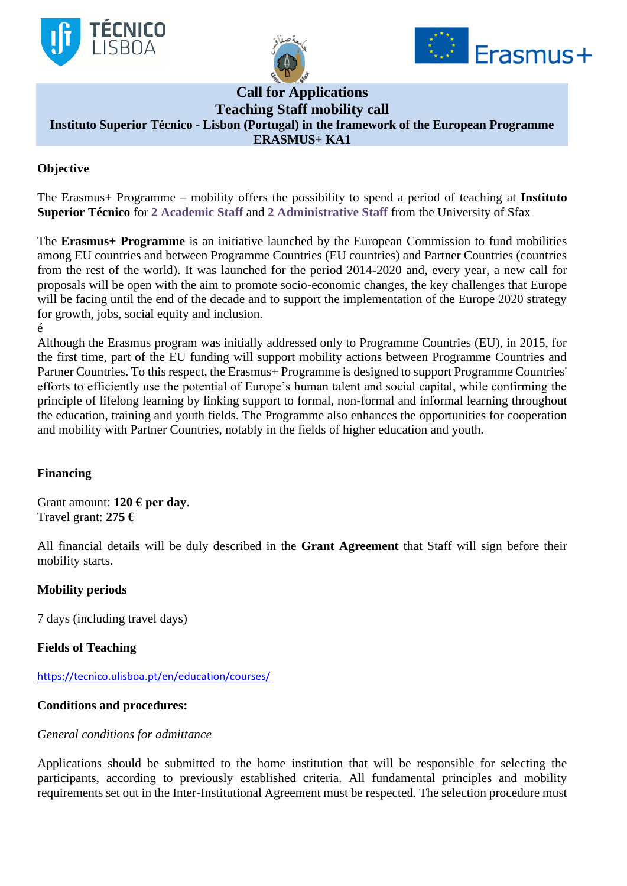





# **Call for Applications**

**Teaching Staff mobility call**

**Instituto Superior Técnico - Lisbon (Portugal) in the framework of the European Programme** 

#### **ERASMUS+ KA1**

## **Objective**

The Erasmus+ Programme – mobility offers the possibility to spend a period of teaching at **Instituto Superior Técnico** for **2 Academic Staff** and **2 Administrative Staff** from the University of Sfax

The **Erasmus+ Programme** is an initiative launched by the European Commission to fund mobilities among EU countries and between Programme Countries (EU countries) and Partner Countries (countries from the rest of the world). It was launched for the period 2014-2020 and, every year, a new call for proposals will be open with the aim to promote socio-economic changes, the key challenges that Europe will be facing until the end of the decade and to support the implementation of the Europe 2020 strategy for growth, jobs, social equity and inclusion. é

Although the Erasmus program was initially addressed only to Programme Countries (EU), in 2015, for the first time, part of the EU funding will support mobility actions between Programme Countries and Partner Countries. To this respect, the Erasmus+ Programme is designed to support Programme Countries' efforts to efficiently use the potential of Europe's human talent and social capital, while confirming the principle of lifelong learning by linking support to formal, non-formal and informal learning throughout the education, training and youth fields. The Programme also enhances the opportunities for cooperation and mobility with Partner Countries, notably in the fields of higher education and youth.

### **Financing**

Grant amount: **120 € per day**. Travel grant: **275 €**

All financial details will be duly described in the **Grant Agreement** that Staff will sign before their mobility starts.

### **Mobility periods**

7 days (including travel days)

### **Fields of Teaching**

<https://tecnico.ulisboa.pt/en/education/courses/>

### **Conditions and procedures:**

#### *General conditions for admittance*

Applications should be submitted to the home institution that will be responsible for selecting the participants, according to previously established criteria. All fundamental principles and mobility requirements set out in the Inter-Institutional Agreement must be respected. The selection procedure must